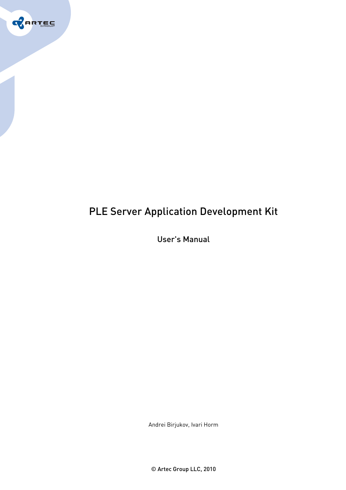

# PLE Server Application Development Kit

User's Manual

Andrei Birjukov, Ivari Horm

© Artec Group LLC, 2010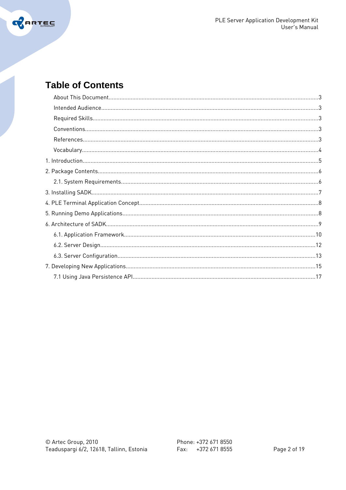

## **Table of Contents**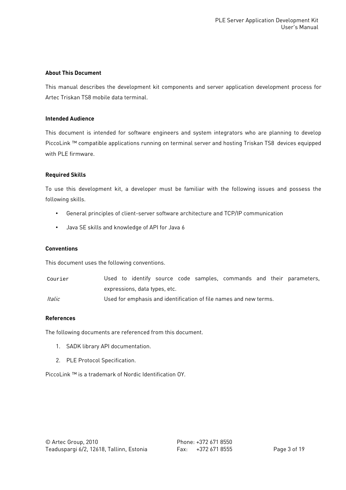#### **About This Document**

This manual describes the development kit components and server application development process for Artec Triskan TS8 mobile data terminal.

### **Intended Audience**

This document is intended for software engineers and system integrators who are planning to develop PiccoLink ™ compatible applications running on terminal server and hosting Triskan TS8 devices equipped with PLE firmware.

#### **Required Skills**

To use this development kit, a developer must be familiar with the following issues and possess the following skills.

- General principles of client-server software architecture and TCP/IP communication
- Java SE skills and knowledge of API for Java 6

#### **Conventions**

This document uses the following conventions.

| Courier |                                                                   |  |  |  |  |  |  |  |  | Used to identify source code samples, commands and their parameters, |
|---------|-------------------------------------------------------------------|--|--|--|--|--|--|--|--|----------------------------------------------------------------------|
|         | expressions, data types, etc.                                     |  |  |  |  |  |  |  |  |                                                                      |
| Italic  | Used for emphasis and identification of file names and new terms. |  |  |  |  |  |  |  |  |                                                                      |

#### **References**

The following documents are referenced from this document.

- 1. SADK library API documentation.
- 2. PLE Protocol Specification.

PiccoLink ™ is a trademark of Nordic Identification OY.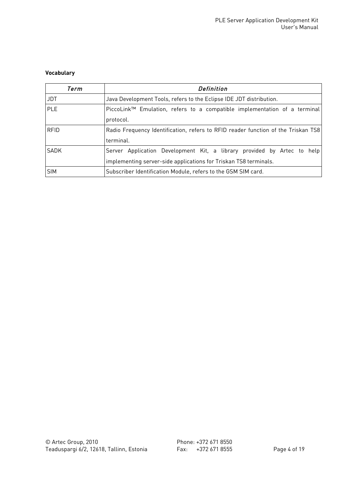## **Vocabulary**

| Term        | Definition                                                                                                                                  |
|-------------|---------------------------------------------------------------------------------------------------------------------------------------------|
| <b>JDT</b>  | Java Development Tools, refers to the Eclipse IDE JDT distribution.                                                                         |
| <b>PLE</b>  | PiccoLink <sup>™</sup> Emulation, refers to a compatible implementation of a terminal<br>protocol.                                          |
| <b>RFID</b> | Radio Frequency Identification, refers to RFID reader function of the Triskan TS8<br>terminal.                                              |
| SADK        | Server Application Development Kit, a library provided by Artec to help<br>implementing server-side applications for Triskan TS8 terminals. |
| <b>SIM</b>  | Subscriber Identification Module, refers to the GSM SIM card.                                                                               |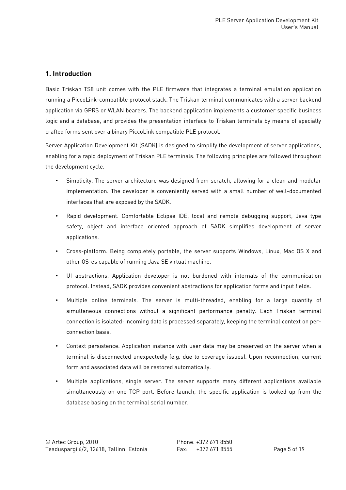## **1. Introduction**

Basic Triskan TS8 unit comes with the PLE firmware that integrates a terminal emulation application running a PiccoLink-compatible protocol stack. The Triskan terminal communicates with a server backend application via GPRS or WLAN bearers. The backend application implements a customer specific business logic and a database, and provides the presentation interface to Triskan terminals by means of specially crafted forms sent over a binary PiccoLink compatible PLE protocol.

Server Application Development Kit (SADK) is designed to simplify the development of server applications, enabling for a rapid deployment of Triskan PLE terminals. The following principles are followed throughout the development cycle.

- Simplicity. The server architecture was designed from scratch, allowing for a clean and modular implementation. The developer is conveniently served with a small number of well-documented interfaces that are exposed by the SADK.
- Rapid development. Comfortable Eclipse IDE, local and remote debugging support, Java type safety, object and interface oriented approach of SADK simplifies development of server applications.
- Cross-platform. Being completely portable, the server supports Windows, Linux, Mac OS X and other OS-es capable of running Java SE virtual machine.
- UI abstractions. Application developer is not burdened with internals of the communication protocol. Instead, SADK provides convenient abstractions for application forms and input fields.
- Multiple online terminals. The server is multi-threaded, enabling for a large quantity of simultaneous connections without a significant performance penalty. Each Triskan terminal connection is isolated: incoming data is processed separately, keeping the terminal context on perconnection basis.
- Context persistence. Application instance with user data may be preserved on the server when a terminal is disconnected unexpectedly (e.g. due to coverage issues). Upon reconnection, current form and associated data will be restored automatically.
- Multiple applications, single server. The server supports many different applications available simultaneously on one TCP port. Before launch, the specific application is looked up from the database basing on the terminal serial number.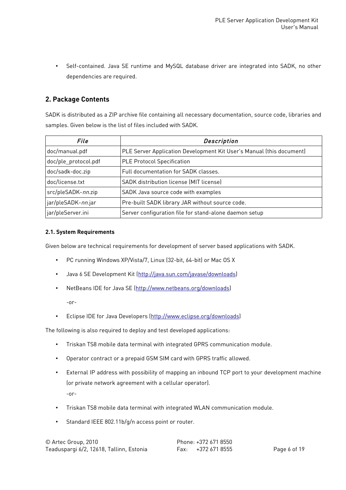• Self-contained. Java SE runtime and MySQL database driver are integrated into SADK, no other dependencies are required.

## **2. Package Contents**

SADK is distributed as a ZIP archive file containing all necessary documentation, source code, libraries and samples. Given below is the list of files included with SADK.

| File                 | Description                                                          |
|----------------------|----------------------------------------------------------------------|
| doc/manual.pdf       | PLE Server Application Development Kit User's Manual (this document) |
| doc/ple_protocol.pdf | <b>PLE Protocol Specification</b>                                    |
| doc/sadk-doc.zip     | Full documentation for SADK classes.                                 |
| doc/license.txt      | SADK distribution license (MIT license)                              |
| src/pleSADK-nn.zip   | SADK Java source code with examples                                  |
| jar/pleSADK-nn.jar   | Pre-built SADK library JAR without source code.                      |
| jar/pleServer.ini    | Server configuration file for stand-alone daemon setup               |

#### **2.1. System Requirements**

Given below are technical requirements for development of server based applications with SADK.

- PC running Windows XP/Vista/7, Linux (32-bit, 64-bit) or Mac OS X
- Java 6 SE Development Kit [\(http://java.sun.com/javase/downloads\)](http://java.sun.com/javase/downloads)
- NetBeans IDE for Java SE [\(http://www.netbeans.org/downloads\)](http://www.netbeans.org/downloads) -or-
- Eclipse IDE for Java Developers [\(http://www.eclipse.org/downloads\)](http://www.eclipse.org/downloads)

The following is also required to deploy and test developed applications:

- Triskan TS8 mobile data terminal with integrated GPRS communication module.
- Operator contract or a prepaid GSM SIM card with GPRS traffic allowed.
- External IP address with possibility of mapping an inbound TCP port to your development machine (or private network agreement with a cellular operator). -or-
- Triskan TS8 mobile data terminal with integrated WLAN communication module.
- Standard IEEE 802.11b/g/n access point or router.

| © Artec Group, 2010                      | Phone: +372 671 8550 |
|------------------------------------------|----------------------|
| Teaduspargi 6/2, 12618, Tallinn, Estonia | Fax: +372 671 8555   |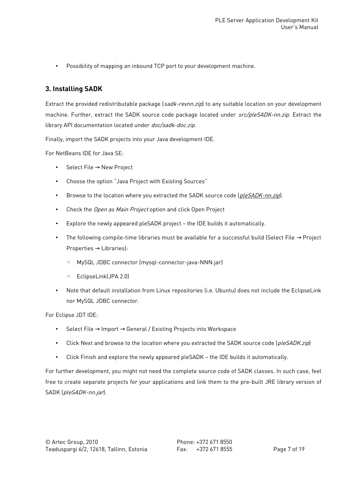• Possibility of mapping an inbound TCP port to your development machine.

## **3. Installing SADK**

Extract the provided redistributable package (sadk-revnn.zip) to any suitable location on your development machine. Further, extract the SADK source code package located under src/pleSADK-nn.zip. Extract the library API documentation located under *doc/sadk-doc.zip*.

Finally, import the SADK projects into your Java development IDE.

For NetBeans IDE for Java SE:

- Select File → New Project
- Choose the option "Java Project with Existing Sources"
- Browse to the location where you extracted the SADK source code (pleSADK-nn.zip).
- Check the Open as Main Project option and click Open Project
- Explore the newly appeared pleSADK project the IDE builds it automatically.
- The following compile-time libraries must be available for a successful build (Select File  $\rightarrow$  Project Properties  $\rightarrow$  Libraries):
	- MySQL JDBC connector (mysql-connector-java-NNN.jar)
	- EclipseLink(JPA 2.0)
- Note that default installation from Linux repositories (i.e. Ubuntu) does not include the EclipseLink nor MySQL JDBC connector.

For Eclipse JDT IDE:

- Select File → Import → General / Existing Projects into Workspace
- Click Next and browse to the location where you extracted the SADK source code (pleSADK.zip)
- Click Finish and explore the newly appeared pleSADK the IDE builds it automatically.

For further development, you might not need the complete source code of SADK classes. In such case, feel free to create separate projects for your applications and link them to the pre-built JRE library version of SADK (pleSADK-nn.jar).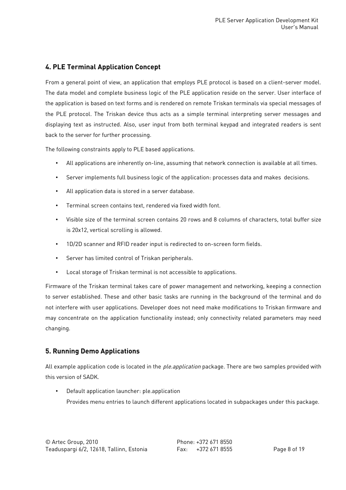## **4. PLE Terminal Application Concept**

From a general point of view, an application that employs PLE protocol is based on a client-server model. The data model and complete business logic of the PLE application reside on the server. User interface of the application is based on text forms and is rendered on remote Triskan terminals via special messages of the PLE protocol. The Triskan device thus acts as a simple terminal interpreting server messages and displaying text as instructed. Also, user input from both terminal keypad and integrated readers is sent back to the server for further processing.

The following constraints apply to PLE based applications.

- All applications are inherently on-line, assuming that network connection is available at all times.
- Server implements full business logic of the application: processes data and makes decisions.
- All application data is stored in a server database.
- Terminal screen contains text, rendered via fixed width font.
- Visible size of the terminal screen contains 20 rows and 8 columns of characters, total buffer size is 20x12, vertical scrolling is allowed.
- 1D/2D scanner and RFID reader input is redirected to on-screen form fields.
- Server has limited control of Triskan peripherals.
- Local storage of Triskan terminal is not accessible to applications.

Firmware of the Triskan terminal takes care of power management and networking, keeping a connection to server established. These and other basic tasks are running in the background of the terminal and do not interfere with user applications. Developer does not need make modifications to Triskan firmware and may concentrate on the application functionality instead; only connectivity related parameters may need changing.

## **5. Running Demo Applications**

All example application code is located in the *ple.application* package. There are two samples provided with this version of SADK.

• Default application launcher: ple.application Provides menu entries to launch different applications located in subpackages under this package.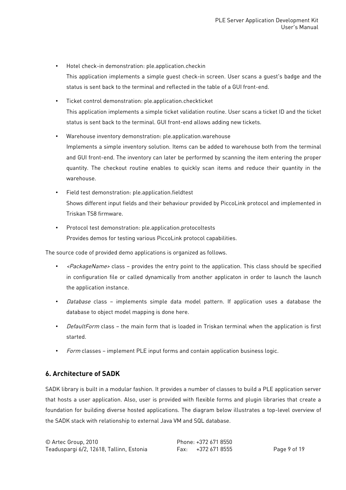• Hotel check-in demonstration: ple.application.checkin

This application implements a simple guest check-in screen. User scans a guest's badge and the status is sent back to the terminal and reflected in the table of a GUI front-end.

- Ticket control demonstration: ple.application.checkticket This application implements a simple ticket validation routine. User scans a ticket ID and the ticket status is sent back to the terminal. GUI front-end allows adding new tickets.
- Warehouse inventory demonstration: ple.application.warehouse Implements a simple inventory solution. Items can be added to warehouse both from the terminal and GUI front-end. The inventory can later be performed by scanning the item entering the proper quantity. The checkout routine enables to quickly scan items and reduce their quantity in the warehouse.
- Field test demonstration: ple.application.fieldtest Shows different input fields and their behaviour provided by PiccoLink protocol and implemented in Triskan TS8 firmware.
- Protocol test demonstration: ple.application.protocoltests Provides demos for testing various PiccoLink protocol capabilities.

The source code of provided demo applications is organized as follows.

- $\epsilon$ PackageName> class provides the entry point to the application. This class should be specified in configuration file or called dynamically from another applicaton in order to launch the launch the application instance.
- Database class implements simple data model pattern. If application uses a database the database to object model mapping is done here.
- DefaultForm class the main form that is loaded in Triskan terminal when the application is first started.
- Form classes implement PLE input forms and contain application business logic.

## **6. Architecture of SADK**

SADK library is built in a modular fashion. It provides a number of classes to build a PLE application server that hosts a user application. Also, user is provided with flexible forms and plugin libraries that create a foundation for building diverse hosted applications. The diagram below illustrates a top-level overview of the SADK stack with relationship to external Java VM and SQL database.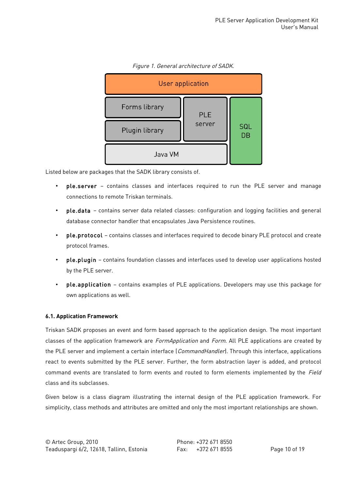

#### Figure 1. General architecture of SADK.

Listed below are packages that the SADK library consists of.

- ple.server contains classes and interfaces required to run the PLE server and manage connections to remote Triskan terminals.
- ple.data contains server data related classes: configuration and logging facilities and general database connector handler that encapsulates Java Persistence routines.
- ple.protocol contains classes and interfaces required to decode binary PLE protocol and create protocol frames.
- ple.plugin contains foundation classes and interfaces used to develop user applications hosted by the PLE server.
- ple.application contains examples of PLE applications. Developers may use this package for own applications as well.

## **6.1. Application Framework**

Triskan SADK proposes an event and form based approach to the application design. The most important classes of the application framework are FormApplication and Form. All PLE applications are created by the PLE server and implement a certain interface (*CommandHandler*). Through this interface, applications react to events submitted by the PLE server. Further, the form abstraction layer is added, and protocol command events are translated to form events and routed to form elements implemented by the Field class and its subclasses.

Given below is a class diagram illustrating the internal design of the PLE application framework. For simplicity, class methods and attributes are omitted and only the most important relationships are shown.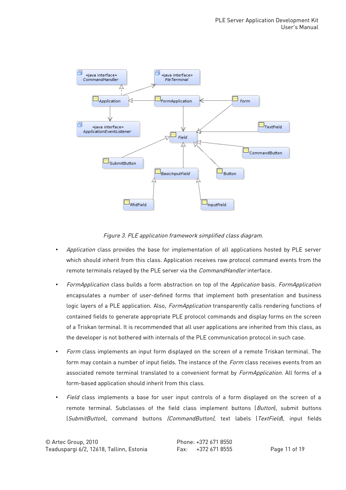

Figure 3. PLE application framework simplified class diagram.

- Application class provides the base for implementation of all applications hosted by PLE server which should inherit from this class. Application receives raw protocol command events from the remote terminals relayed by the PLE server via the CommandHandler interface.
- FormApplication class builds a form abstraction on top of the Application basis. FormApplication encapsulates a number of user-defined forms that implement both presentation and business logic layers of a PLE application. Also, *FormApplication* transparently calls rendering functions of contained fields to generate appropriate PLE protocol commands and display forms on the screen of a Triskan terminal. It is recommended that all user applications are inherited from this class, as the developer is not bothered with internals of the PLE communication protocol in such case.
- Form class implements an input form displayed on the screen of a remote Triskan terminal. The form may contain a number of input fields. The instance of the *Form* class receives events from an associated remote terminal translated to a convenient format by *FormApplication*. All forms of a form-based application should inherit from this class.
- Field class implements a base for user input controls of a form displayed on the screen of a remote terminal. Subclasses of the field class implement buttons (Button), submit buttons (SubmitButton), command buttons (CommandButton), text labels (TextField), input fields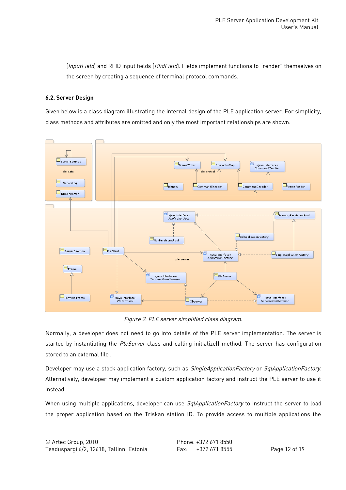(InputField) and RFID input fields (RfidField). Fields implement functions to "render" themselves on the screen by creating a sequence of terminal protocol commands.

### **6.2. Server Design**

Given below is a class diagram illustrating the internal design of the PLE application server. For simplicity, class methods and attributes are omitted and only the most important relationships are shown.



Figure 2. PLE server simplified class diagram.

Normally, a developer does not need to go into details of the PLE server implementation. The server is started by instantiating the PleServer class and calling initialize() method. The server has configuration stored to an external file .

Developer may use a stock application factory, such as SingleApplicationFactory or SqlApplicationFactory. Alternatively, developer may implement a custom application factory and instruct the PLE server to use it instead.

When using multiple applications, developer can use SqlApplicationFactory to instruct the server to load the proper application based on the Triskan station ID. To provide access to multiple applications the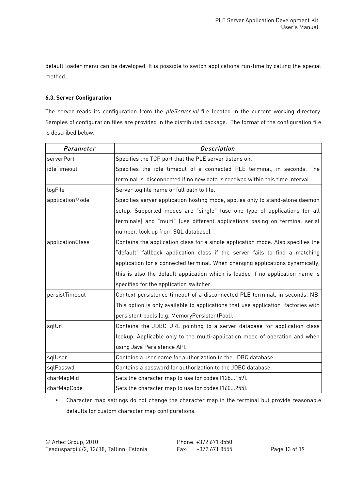default loader menu can be developed. It is possible to switch applications run-time by calling the special method.

### **6.3. Server Configuration**

The server reads its configuration from the *pleServer.ini* file located in the current working directory. Samples of configuration files are provided in the distributed package. The format of the configuration file is described below.

| Parameter        | Description                                                                       |
|------------------|-----------------------------------------------------------------------------------|
| serverPort       | Specifies the TCP port that the PLE server listens on.                            |
| idleTimeout      | Specifies the idle timeout of a connected PLE terminal, in seconds. The           |
|                  | terminal is disconnected if no new data is received within this time interval.    |
| logFile          | Server log file name or full path to file.                                        |
| applicationMode  | Specifies server application hosting mode, applies only to stand-alone daemon     |
|                  | setup. Supported modes are "single" (use one type of applications for all         |
|                  | terminals) and "multi" (use different applications basing on terminal serial      |
|                  | number, look up from SQL database).                                               |
| applicationClass | Contains the application class for a single application mode. Also specifies the  |
|                  | "default" fallback application class if the server fails to find a matching       |
|                  | application for a connected terminal. When changing applications dynamically,     |
|                  | this is also the default application which is loaded if no application name is    |
|                  | specified for the application switcher.                                           |
| persistTimeout   | Context persistence timeout of a disconnected PLE terminal, in seconds. NB!       |
|                  | This option is only available to applications that use application factories with |
|                  | persistent pools (e.g. MemoryPersistentPool).                                     |
| sqlUrl           | Contains the JDBC URL pointing to a server database for application class         |
|                  | lookup. Applicable only to the multi-application mode of operation and when       |
|                  | using Java Persistence API.                                                       |
| sqlUser          | Contains a user name for authorization to the JDBC database.                      |
| sqlPasswd        | Contains a password for authorization to the JDBC database.                       |
| charMapMid       | Sets the character map to use for codes (128159).                                 |
| charMapCode      | Sets the character map to use for codes (160255).                                 |

• Character map settings do not change the character map in the terminal but provide reasonable defaults for custom character map configurations.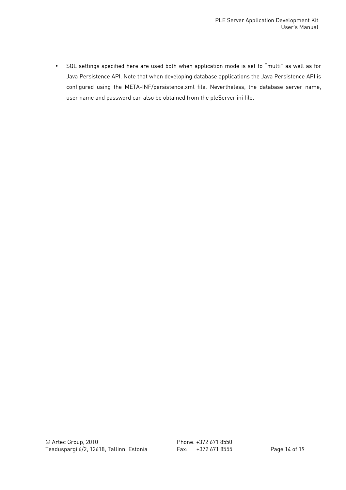• SQL settings specified here are used both when application mode is set to "multi" as well as for Java Persistence API. Note that when developing database applications the Java Persistence API is configured using the META-INF/persistence.xml file. Nevertheless, the database server name, user name and password can also be obtained from the pleServer.ini file.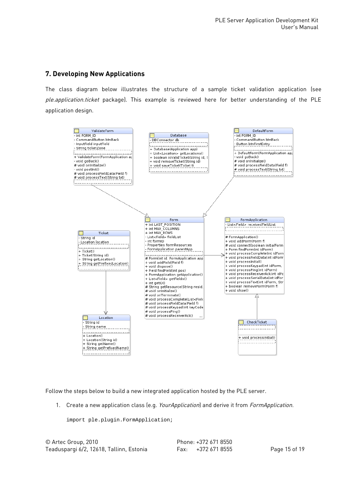## **7. Developing New Applications**

The class diagram below illustrates the structure of a sample ticket validation application (see ple.application.ticket package). This example is reviewed here for better understanding of the PLE application design.



Follow the steps below to build a new integrated application hosted by the PLE server.

1. Create a new application class (e.g. YourApplication) and derive it from FormApplication.

import ple.plugin.FormApplication;

© Artec Group, 2010 Phone: +372 671 8550 Teaduspargi 6/2, 12618, Tallinn, Estonia Fax: +372 671 8555 Page 15 of 19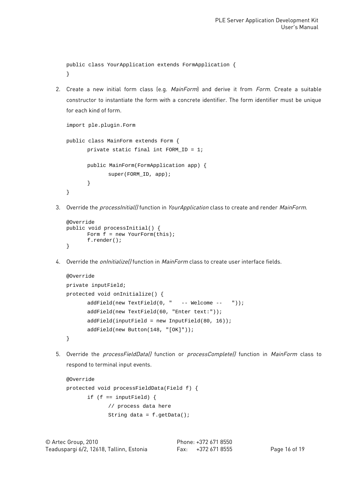public class YourApplication extends FormApplication { }

2. Create a new initial form class (e.g. MainForm) and derive it from Form. Create a suitable constructor to instantiate the form with a concrete identifier. The form identifier must be unique for each kind of form.

```
import ple.plugin.Form
public class MainForm extends Form {
      private static final int FORM_ID = 1;
      public MainForm(FormApplication app) {
             super(FORM_ID, app);
      }
}
```
3. Override the *processInitial()* function in *YourApplication* class to create and render *MainForm*.

```
@Override
public void processInitial() {
       Form \dot{f} = new YourForm(this);
       f.render();
}
```
4. Override the *onInitialize()* function in *MainForm* class to create user interface fields.

```
@Override
private inputField;
protected void onInitialize() {
      addField(new TextField(0, " -- Welcome -- "));
      addField(new TextField(60, "Enter text:"));
      addField(inputField = new InputField(80, 16));
      addField(new Button(148, "[OK]"));
}
```
5. Override the *processFieldDatal* function or *processCompletel* function in MainForm class to respond to terminal input events.

```
@Override
protected void processFieldData(Field f) {
      if (f == inputField) {
             // process data here
             String data = f.getData();
```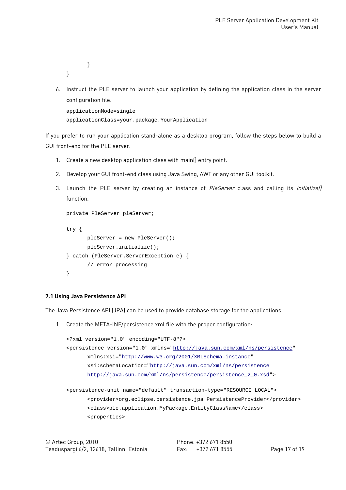```
}
```
}

6. Instruct the PLE server to launch your application by defining the application class in the server configuration file.

```
applicationMode=single
applicationClass=your.package.YourApplication
```
If you prefer to run your application stand-alone as a desktop program, follow the steps below to build a GUI front-end for the PLE server.

- 1. Create a new desktop application class with main() entry point.
- 2. Develop your GUI front-end class using Java Swing, AWT or any other GUI toolkit.
- 3. Launch the PLE server by creating an instance of PleServer class and calling its *initializel)* function.

```
private PleServer pleServer;
try {
      pleServer = new PleServer();
      pleServer.initialize();
} catch (PleServer.ServerException e) {
      // error processing
}
```
## **7.1 Using Java Persistence API**

The Java Persistence API (JPA) can be used to provide database storage for the applications.

1. Create the META-INF/persistence.xml file with the proper configuration:

```
<?xml version="1.0" encoding="UTF-8"?>
<persistence version="1.0" xmlns="http://java.sun.com/xml/ns/persistence"
      xmlns:xsi="http://www.w3.org/2001/XMLSchema-instance"
      xsi:schemaLocation="http://java.sun.com/xml/ns/persistence
      http://java.sun.com/xml/ns/persistence/persistence_2_0.xsd">
```
<persistence-unit name="default" transaction-type="RESOURCE\_LOCAL"> <provider>org.eclipse.persistence.jpa.PersistenceProvider</provider> <class>ple.application.MyPackage.EntityClassName</class> <properties>

| © Artec Group, 2010                      |  |  |
|------------------------------------------|--|--|
| Teaduspargi 6/2, 12618, Tallinn, Estonia |  |  |

Phone: +372 671 8550 Fax: +372 671 8555 Page 17 of 19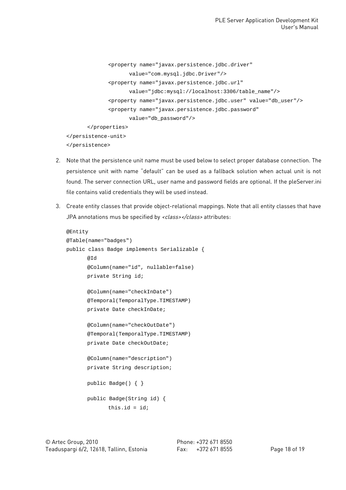```
<property name="javax.persistence.jdbc.driver"
                    value="com.mysql.jdbc.Driver"/>
             <property name="javax.persistence.jdbc.url"
                    value="jdbc:mysql://localhost:3306/table_name"/>
             <property name="javax.persistence.jdbc.user" value="db_user"/>
             <property name="javax.persistence.jdbc.password"
                    value="db_password"/>
      </properties>
</persistence-unit>
</persistence>
```
- 2. Note that the persistence unit name must be used below to select proper database connection. The persistence unit with name "default" can be used as a fallback solution when actual unit is not found. The server connection URL, user name and password fields are optional. If the pleServer.ini file contains valid credentials they will be used instead.
- 3. Create entity classes that provide object-relational mappings. Note that all entity classes that have JPA annotations mus be specified by <class></class> attributes:

```
@Entity
@Table(name="badges")
public class Badge implements Serializable {
      @Id
      @Column(name="id", nullable=false)
      private String id;
      @Column(name="checkInDate")
      @Temporal(TemporalType.TIMESTAMP)
      private Date checkInDate;
      @Column(name="checkOutDate")
      @Temporal(TemporalType.TIMESTAMP)
      private Date checkOutDate;
      @Column(name="description")
      private String description;
      public Badge() { }
      public Badge(String id) {
             this.id = id;
```